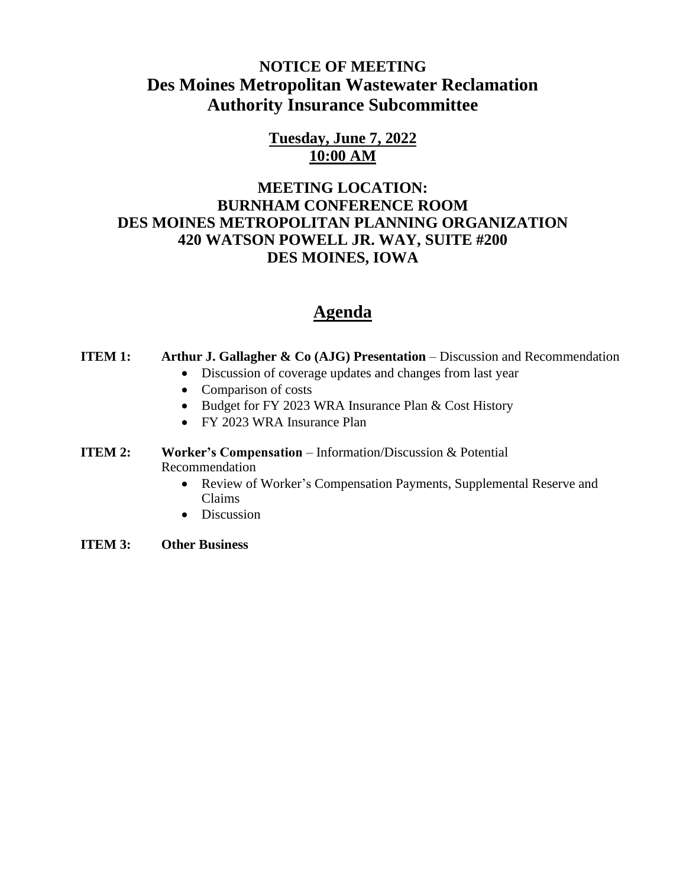# **NOTICE OF MEETING Des Moines Metropolitan Wastewater Reclamation Authority Insurance Subcommittee**

### **Tuesday, June 7, 2022 10:00 AM**

### **MEETING LOCATION: BURNHAM CONFERENCE ROOM DES MOINES METROPOLITAN PLANNING ORGANIZATION 420 WATSON POWELL JR. WAY, SUITE #200 DES MOINES, IOWA**

# **Agenda**

#### **ITEM 1: Arthur J. Gallagher & Co (AJG) Presentation** – Discussion and Recommendation

- Discussion of coverage updates and changes from last year
- Comparison of costs
- Budget for FY 2023 WRA Insurance Plan & Cost History
- FY 2023 WRA Insurance Plan

#### **ITEM 2:** Worker's Compensation – Information/Discussion & Potential Recommendation

- Review of Worker's Compensation Payments, Supplemental Reserve and Claims
- Discussion
- **ITEM 3: Other Business**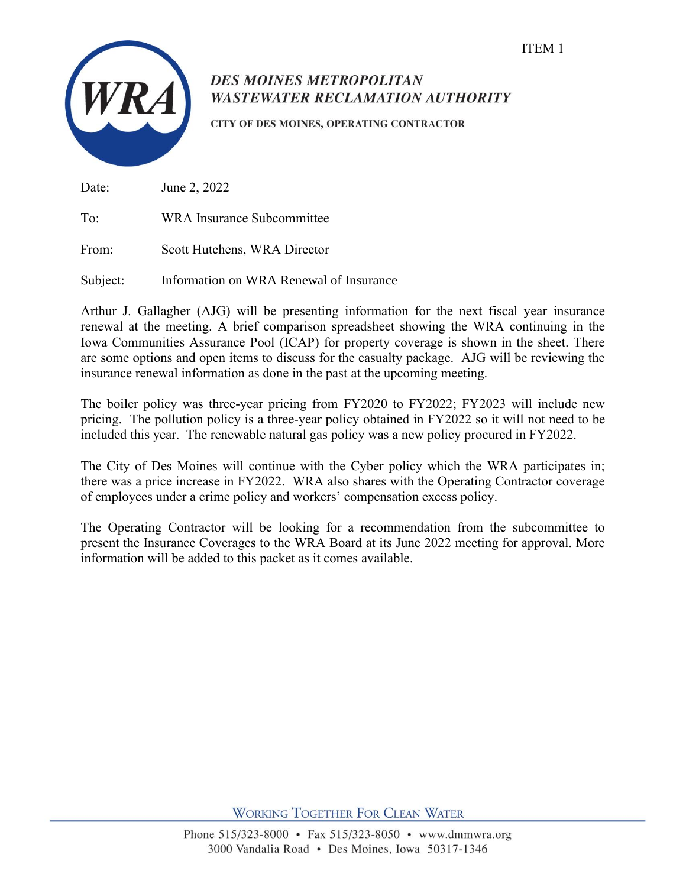

# **DES MOINES METROPOLITAN WASTEWATER RECLAMATION AUTHORITY**

CITY OF DES MOINES, OPERATING CONTRACTOR

Date: June 2, 2022

To: WRA Insurance Subcommittee

From: Scott Hutchens, WRA Director

Subject: Information on WRA Renewal of Insurance

Arthur J. Gallagher (AJG) will be presenting information for the next fiscal year insurance renewal at the meeting. A brief comparison spreadsheet showing the WRA continuing in the Iowa Communities Assurance Pool (ICAP) for property coverage is shown in the sheet. There are some options and open items to discuss for the casualty package. AJG will be reviewing the insurance renewal information as done in the past at the upcoming meeting.

The boiler policy was three-year pricing from FY2020 to FY2022; FY2023 will include new pricing. The pollution policy is a three-year policy obtained in FY2022 so it will not need to be included this year. The renewable natural gas policy was a new policy procured in FY2022.

The City of Des Moines will continue with the Cyber policy which the WRA participates in; there was a price increase in FY2022. WRA also shares with the Operating Contractor coverage of employees under a crime policy and workers' compensation excess policy.

The Operating Contractor will be looking for a recommendation from the subcommittee to present the Insurance Coverages to the WRA Board at its June 2022 meeting for approval. More information will be added to this packet as it comes available.

**WORKING TOGETHER FOR CLEAN WATER**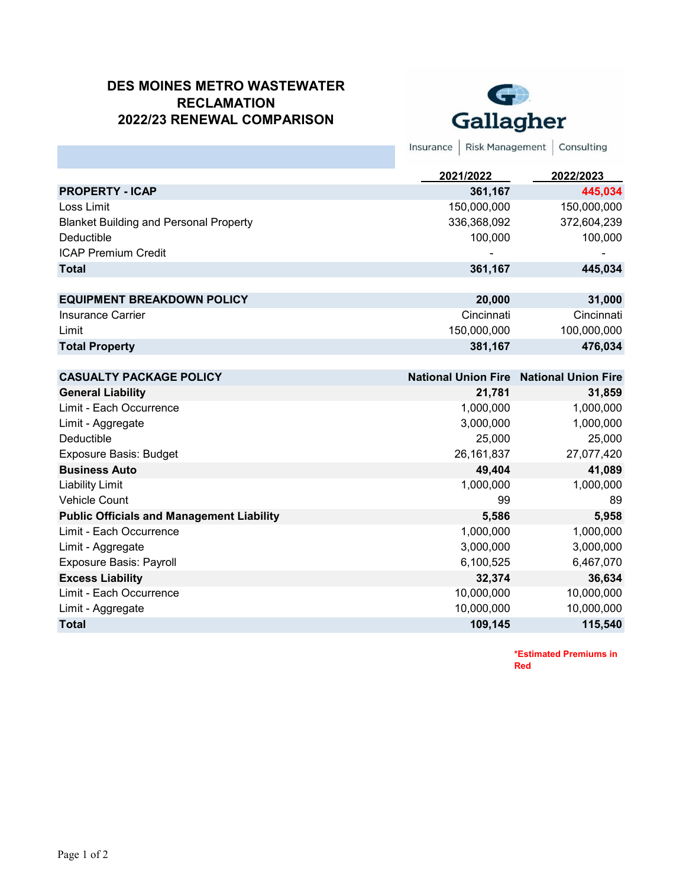#### **DES MOINES METRO WASTEWATER RECLAMATION 2022/23 RENEWAL COMPARISON**



Insurance | Risk Management | Consulting

|                                               | 2021/2022   | 2022/2023   |
|-----------------------------------------------|-------------|-------------|
| <b>PROPERTY - ICAP</b>                        | 361,167     | 445,034     |
| Loss Limit                                    | 150,000,000 | 150,000,000 |
| <b>Blanket Building and Personal Property</b> | 336,368,092 | 372,604,239 |
| Deductible                                    | 100.000     | 100,000     |
| <b>ICAP Premium Credit</b>                    | -           |             |
| <b>Total</b>                                  | 361,167     | 445,034     |
|                                               |             |             |
| <b>EQUIPMENT BREAKDOWN POLICY</b>             | 20,000      | 31,000      |
| Insurance Carrier                             | Cincinnati  | Cincinnati  |
| Limit                                         | 150,000,000 | 100,000,000 |
| <b>Total Property</b>                         | 381,167     | 476,034     |
|                                               |             |             |

| <b>CASUALTY PACKAGE POLICY</b>                   |              | <b>National Union Fire National Union Fire</b> |
|--------------------------------------------------|--------------|------------------------------------------------|
| <b>General Liability</b>                         | 21,781       | 31,859                                         |
| Limit - Each Occurrence                          | 1,000,000    | 1,000,000                                      |
| Limit - Aggregate                                | 3,000,000    | 1,000,000                                      |
| Deductible                                       | 25,000       | 25,000                                         |
| <b>Exposure Basis: Budget</b>                    | 26, 161, 837 | 27,077,420                                     |
| <b>Business Auto</b>                             | 49,404       | 41,089                                         |
| <b>Liability Limit</b>                           | 1,000,000    | 1,000,000                                      |
| <b>Vehicle Count</b>                             | 99           | 89                                             |
| <b>Public Officials and Management Liability</b> | 5,586        | 5,958                                          |
| Limit - Each Occurrence                          | 1,000,000    | 1,000,000                                      |
| Limit - Aggregate                                | 3,000,000    | 3,000,000                                      |
| <b>Exposure Basis: Payroll</b>                   | 6,100,525    | 6,467,070                                      |
| <b>Excess Liability</b>                          | 32,374       | 36,634                                         |
| Limit - Each Occurrence                          | 10,000,000   | 10,000,000                                     |
| Limit - Aggregate                                | 10,000,000   | 10,000,000                                     |
| <b>Total</b>                                     | 109,145      | 115,540                                        |

**\*Estimated Premiums in Red**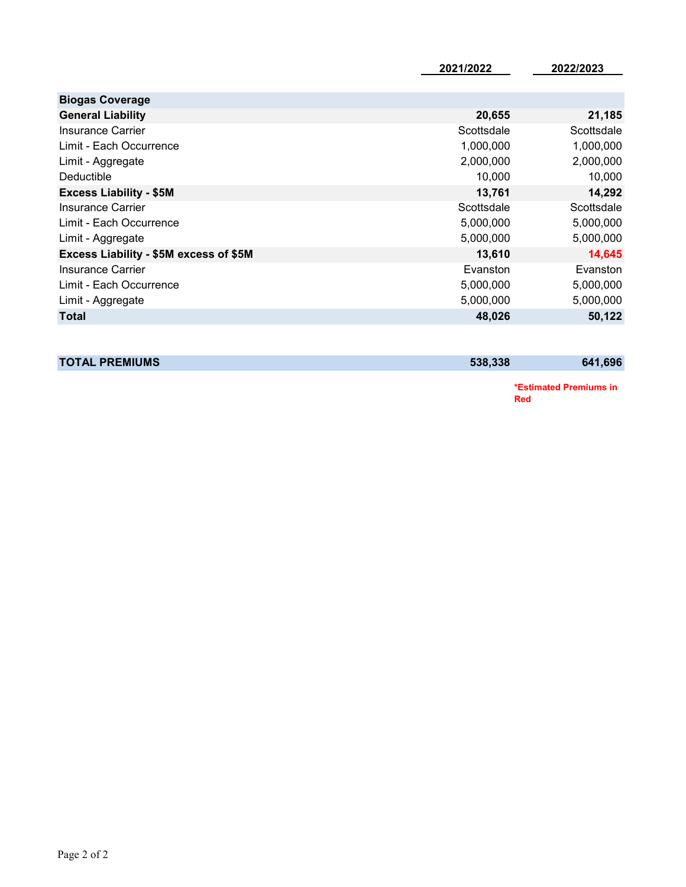| <b>Biogas Coverage</b>                 |            |            |
|----------------------------------------|------------|------------|
| <b>General Liability</b>               | 20,655     | 21,185     |
| Insurance Carrier                      | Scottsdale | Scottsdale |
| Limit - Each Occurrence                | 1,000,000  | 1,000,000  |
| Limit - Aggregate                      | 2,000,000  | 2,000,000  |
| Deductible                             | 10,000     | 10,000     |
| <b>Excess Liability - \$5M</b>         | 13,761     | 14,292     |
| Insurance Carrier                      | Scottsdale | Scottsdale |
| Limit - Each Occurrence                | 5,000,000  | 5,000,000  |
| Limit - Aggregate                      | 5,000,000  | 5,000,000  |
| Excess Liability - \$5M excess of \$5M | 13,610     | 14,645     |
| Insurance Carrier                      | Evanston   | Evanston   |
| Limit - Each Occurrence                | 5,000,000  | 5,000,000  |
| Limit - Aggregate                      | 5,000,000  | 5,000,000  |
| <b>Total</b>                           | 48,026     | 50,122     |

**TOTAL PREMIUMS** 641,696

**\*Estimated Premiums in Red**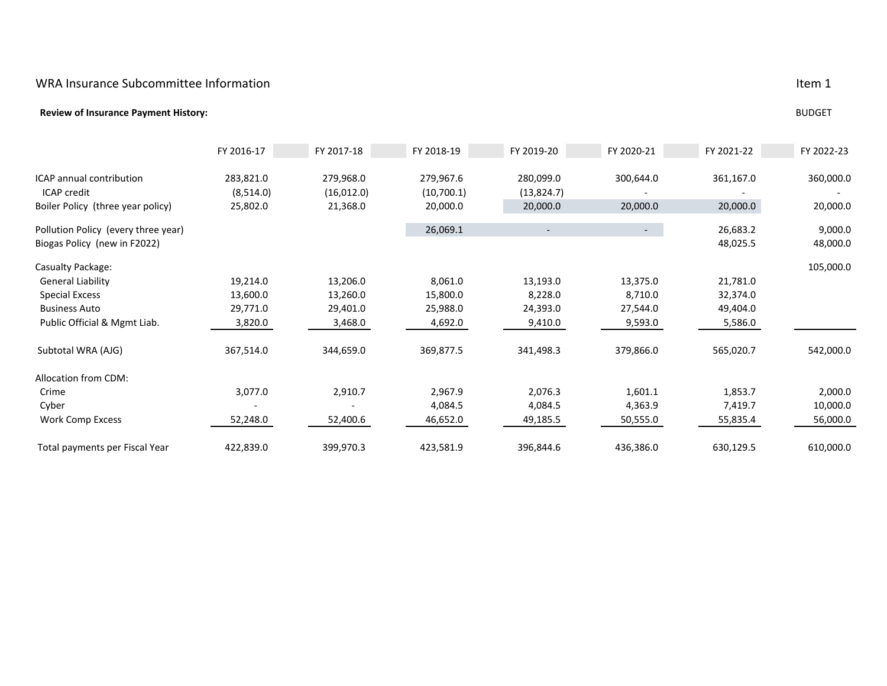#### WRA Insurance Subcommittee Information **Item in the Insurance Subset of the Insurance** Item in the Item in the I

#### **Review of Insurance Payment History:** BUDGET

|                                     | FY 2016-17 | FY 2017-18  | FY 2018-19 | FY 2019-20 | FY 2020-21 | FY 2021-22 | FY 2022-23 |
|-------------------------------------|------------|-------------|------------|------------|------------|------------|------------|
| ICAP annual contribution            | 283,821.0  | 279,968.0   | 279,967.6  | 280,099.0  | 300,644.0  | 361,167.0  | 360,000.0  |
| <b>ICAP</b> credit                  | (8,514.0)  | (16, 012.0) | (10,700.1) | (13,824.7) |            |            |            |
| Boiler Policy (three year policy)   | 25,802.0   | 21,368.0    | 20,000.0   | 20,000.0   | 20,000.0   | 20,000.0   | 20,000.0   |
| Pollution Policy (every three year) |            |             | 26,069.1   |            | $\sim$     | 26,683.2   | 9,000.0    |
| Biogas Policy (new in F2022)        |            |             |            |            |            | 48,025.5   | 48,000.0   |
| Casualty Package:                   |            |             |            |            |            |            | 105,000.0  |
| <b>General Liability</b>            | 19,214.0   | 13,206.0    | 8,061.0    | 13,193.0   | 13,375.0   | 21,781.0   |            |
| <b>Special Excess</b>               | 13,600.0   | 13,260.0    | 15,800.0   | 8,228.0    | 8,710.0    | 32,374.0   |            |
| <b>Business Auto</b>                | 29,771.0   | 29,401.0    | 25,988.0   | 24,393.0   | 27,544.0   | 49,404.0   |            |
| Public Official & Mgmt Liab.        | 3,820.0    | 3,468.0     | 4,692.0    | 9,410.0    | 9,593.0    | 5,586.0    |            |
| Subtotal WRA (AJG)                  | 367,514.0  | 344,659.0   | 369,877.5  | 341,498.3  | 379,866.0  | 565,020.7  | 542,000.0  |
| Allocation from CDM:                |            |             |            |            |            |            |            |
| Crime                               | 3,077.0    | 2,910.7     | 2,967.9    | 2,076.3    | 1,601.1    | 1,853.7    | 2,000.0    |
| Cyber                               |            |             | 4,084.5    | 4,084.5    | 4,363.9    | 7,419.7    | 10,000.0   |
| Work Comp Excess                    | 52,248.0   | 52,400.6    | 46,652.0   | 49,185.5   | 50,555.0   | 55,835.4   | 56,000.0   |
| Total payments per Fiscal Year      | 422,839.0  | 399,970.3   | 423,581.9  | 396,844.6  | 436,386.0  | 630,129.5  | 610,000.0  |

Item 1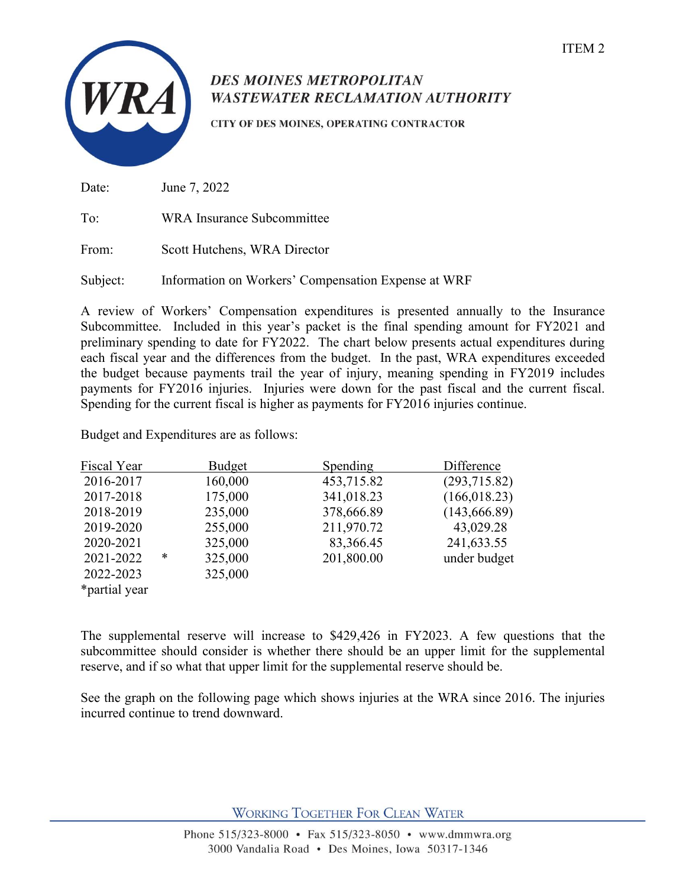

# **DES MOINES METROPOLITAN WASTEWATER RECLAMATION AUTHORITY**

CITY OF DES MOINES, OPERATING CONTRACTOR

Date: June 7, 2022

To: WRA Insurance Subcommittee

From: Scott Hutchens, WRA Director

Subject: Information on Workers' Compensation Expense at WRF

A review of Workers' Compensation expenditures is presented annually to the Insurance Subcommittee. Included in this year's packet is the final spending amount for FY2021 and preliminary spending to date for FY2022. The chart below presents actual expenditures during each fiscal year and the differences from the budget. In the past, WRA expenditures exceeded the budget because payments trail the year of injury, meaning spending in FY2019 includes payments for FY2016 injuries. Injuries were down for the past fiscal and the current fiscal. Spending for the current fiscal is higher as payments for FY2016 injuries continue.

Budget and Expenditures are as follows:

| Fiscal Year   |   | Budget  | Spending   | Difference    |
|---------------|---|---------|------------|---------------|
| 2016-2017     |   | 160,000 | 453,715.82 | (293,715.82)  |
| 2017-2018     |   | 175,000 | 341,018.23 | (166, 018.23) |
| 2018-2019     |   | 235,000 | 378,666.89 | (143, 666.89) |
| 2019-2020     |   | 255,000 | 211,970.72 | 43,029.28     |
| 2020-2021     |   | 325,000 | 83,366.45  | 241,633.55    |
| 2021-2022     | ∗ | 325,000 | 201,800.00 | under budget  |
| 2022-2023     |   | 325,000 |            |               |
| *partial year |   |         |            |               |

The supplemental reserve will increase to \$429,426 in FY2023. A few questions that the subcommittee should consider is whether there should be an upper limit for the supplemental reserve, and if so what that upper limit for the supplemental reserve should be.

See the graph on the following page which shows injuries at the WRA since 2016. The injuries incurred continue to trend downward.

**WORKING TOGETHER FOR CLEAN WATER**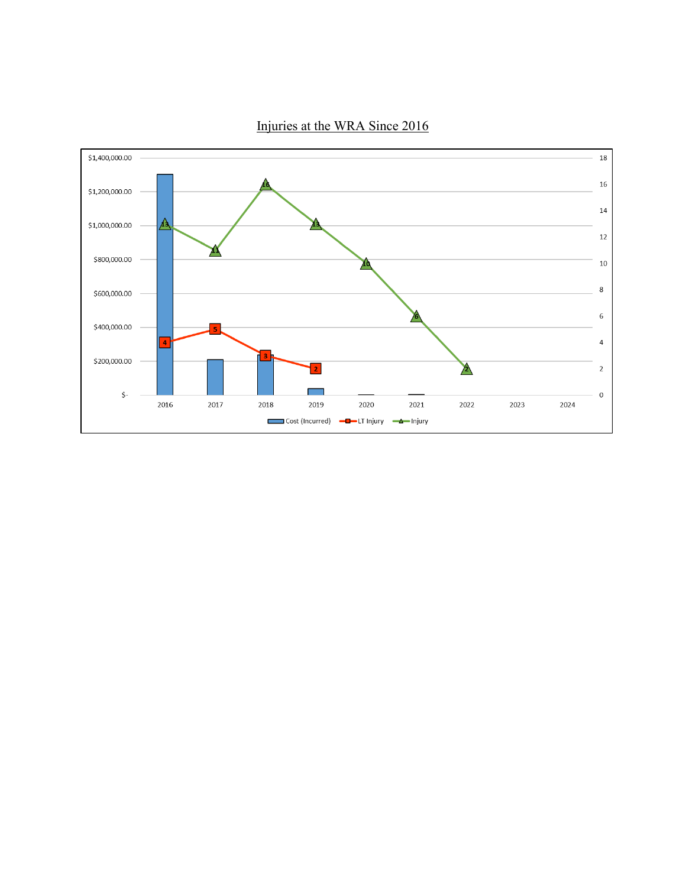

Injuries at the WRA Since 2016